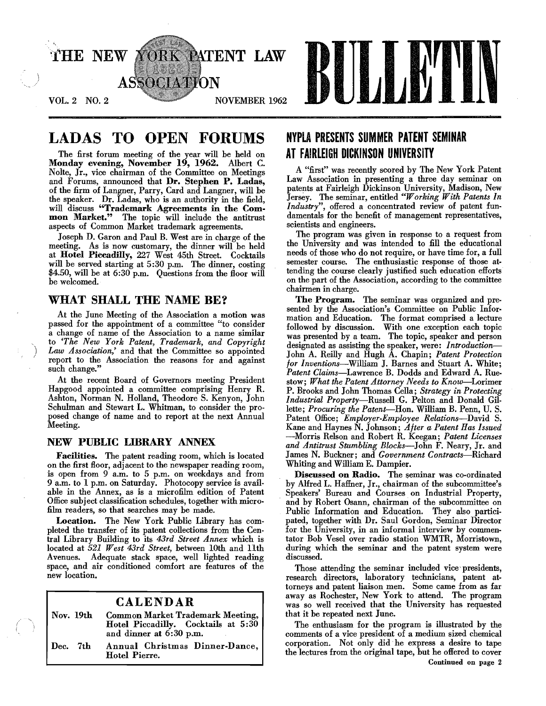

## LADAS TO OPEN FORUMS

The first forum meeting of the year will be held on Monday evening, November 19, 1962. Albert C. Nolte, Jr., vice chairman of the Committee on Meetings and Forums, announced that Dr. Stephen P. Ladas, of the firm of Langner, Parry, Card and Langner, will be the speaker. Dr. Ladas, who is an authority in the field, will discuss "Trademark Agreements in the Common Market." The topic will include the antitrust aspects of Common Market trademark agreements.

Joseph D. Garon and Paul B. West are in charge of the meeting. As is now customary, the dinner will be held at Hotel Piccadilly, 227 West 45th Street. Cocktails will be served starting at 5:30 p.m. The dinner, costing \$4.50, will be at 6:30 p.m. Questions from the floor will be welcomed.

## WHAT SHALL THE NAME BE?

)

At the June Meeting of the Association a motion was passed for the appointment of a committee "to consider a change of name of the Association to a name similar to *'The New York Patent, Trademark, and Copyright Law Association,'* and that the Committee so appointed report to the Association the reasons for and against such change."

At the recent Board of Governors meeting President Hapgood appointed a committee comprising Henry R. Ashton, Norman N. Holland, Theodore S. Kenyon, John Schulman and Stewart L. Whitman, to consider the proposed change of name and to report at the next Annual Meeting.

#### NEW PUBLIC LIDRARY ANNEX

Facilities. The patent reading room, which is located on the first floor, adjacent to the newspaper reading room, is open from 9 a.m. to 5 p.m. on weekdays and from 9 a.m. to 1 p.m. on Saturday. Photocopy service is available in the Annex, as is a microfilm edition of Patent Office subject classification schedules, together with microfilm readers, so that searches may be made.

Location. The New York Public Library has completed the transfer of its patent collections from the Central Library Building to its *43rd Street Annex* which is located at 521 *West 43rd Street,* between 10th and 11th Avenues. Adequate stack space, well lighted reading space, and air conditioned comfort are features of the new location.

#### CALENDAR

Nov. 19th Common Market Trademark Meeting, Dec. 7th Hotel Piccadilly. Cocktails at 5:30 and dinner at 6:30 p.m. Annual Christmas Dinner-Dance, Hotel Pierre.

## NYPLA PRESENTS SliMMER PATENT SEMINAR AT FAIRLEIGH DICKINSON UNIVERSITY

A "first" was recently scored by The New York Patent Law Association in presenting a three day seminar on patents at Fairleigh Dickinson University, Madison, New Jersey. The seminar, entitled *"Working With Patents In Industry",* offered a concentrated review of patent fundamentals for the benefit of management representatives, scientists and engineers.

The program was given in response to a request from the University and was intended to fill the educational needs of those who do not require, or have time for, a full semester course. The enthusiastic response of those attending the course clearly justified such education efforts on the part of the Association, according to the committee chairmen in charge.

The Program. The seminar was organized and presented by the Association's Committee on Public Information and Education. The format comprised a lecture followed by discussion. With one exception each topic was presented by a team. The topic, speaker and person designated as assisting the speaker, were: *Introduction-*John A. Reilly and Hugh A. Chapin; *Patent Protection for Inventions-William* J. Barnes and Stuart A. White; *Patent Claims-Lawrence* B. Dodds and Edward A. Ruestow; *What the Patent Attorney Needs to Know-Lorimer*  P. Brooks and John Thomas Cella; *Strategy in Protecting Industrial Property-Russell* G. Pelton and Donald Gillette; *Procuring the Patent-Hon.* William B. Penn, U. S. Patent Office; *Employer-Employee Relations-David* S. Kane and Haynes N. Johnson; *After a Patent Has Issued*  -Morris Relson and Robert R. Keegan; *Patent Licenses and Antitrust Stumbling Blocks-John* F. Neary, Jr. and James N. Buckner; and *Government Contracts-Richard*  Whiting and William E. Dampier.

Discussed on Radio. The seminar was co-ordinated by Alfred 1. Haffner, Jr., chairman of the subcommittee's Speakers' Bureau and Courses on Industrial Property, and by Robert Osann, chairman of the subcommittee on Public Information and Education. They also participated, together with Dr. Saul Gordon, Seminar Director for the University, in an informal interview by commentator Bob Vesel over radio station WMTR, Morristown, during which the seminar and the patent system were discussed.

Those attending the seminar included vice presidents. research directors, laboratory technicians, patent attorneys and patent liaison men. Some came from as far away as Rochester, New York to attend. The program was so well received that the University has requested that it be repeated next June.

The enthusiasm for the program is illustrated by the comments of a vice president of a medium sized chemical corporation. Not only did he express a desire to tape the lectures from the original tape, but he offered to cover Continued on page 2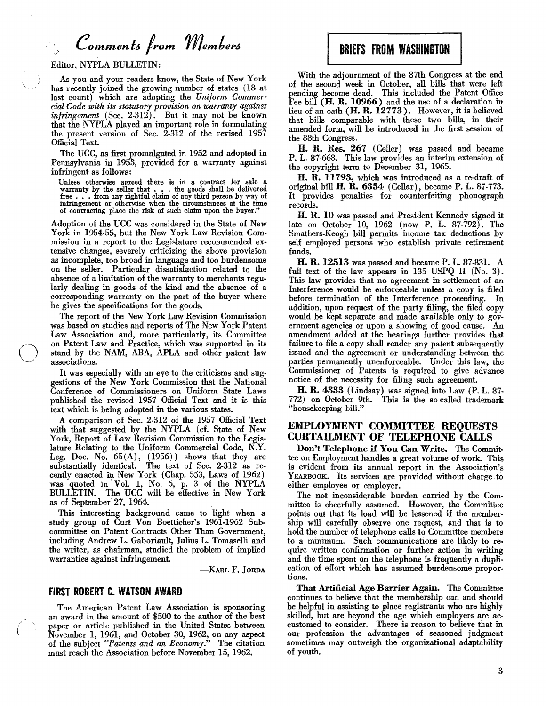# *Commeni& from member6*

Editor, NYPLA BULLETIN:

As you and your readers know, the State of New York has recently joined the growing number of states (18 at last count) which are adopting the *Uniform Commercial Code with its statutory provision on warranty against infringement* (Sec. 2.312). But it may not be known that the NYPLA played an important role in formulating the present version of Sec. 2-312 of the revised 1957 Official Text.

The UCC, as first promulgated in 1952 and adopted in Pennsylvania in 1953, provided for a warranty against infringent as follows:

Unless otherwise agreed there is in a contract for sale a warranty by the seller that  $\dots$  the goods shall be delivered free  $\dots$  from any rightful claim of any third person by way of infringement or otherwise when the circumstances at the time of contracting place the risk of such claim upon the buyer."

Adoption of the UCC was considered in the State of New York in 1954-55, but the New York Law Revision Commission in a report to the Legislature recommended extensive changes, severely criticizing the above provision as incomplete, too broad in language and too burdensome on the seller. Particular dissatisfaction related to the absence of a limitation of the warranty to merchants regularly dealing in goods of the kind and the absence of a corresponding warranty on the part of the buyer where he gives the specifications for the goods.

The report of the New York Law Revision Commission was based on studies and reports of The New York Patent Law Association and, more particularly, its Committee on Patent Law and Practice, which was supported in its (~) stand by the NAM, ABA, APLA and other patent law associations.

> It was especially with an eye to the criticisms and suggestions of the New York Commission that the National Conference of Commissioners on Uniform State Laws published the revised 1957 Official Text and it is this text which is being adopted in the various states.

> A comparison of Sec. 2-312 of the 1957 Official Text with that suggested by the NYPLA (cf. State of New York, Report of Law Revision Commission to the Legislature Relating to the Uniform Commercial Code, N.Y. Leg. Doc. No.  $65(A)$ ,  $(1956)$ ) shows that they are substantially identical. The text of Sec. 2-312 as recently enacted in New York (Chap. 553, Laws of 1962) was quoted in· Vol. 1, No.6, p. 3 of the NYPLA BULLETIN. The UCC will be effective in New York as of September 27, 1964.

> This interesting background came to light when a study group of Curt Von Boetticher's 1961-1962 Sub· committee on Patent Contracts Other Than Government, including Andrew L. Gaboriault, Julius L. Tomaselli and the writer, as chairman, studied the problem of implied warranties against infringement.

> > -KARL F. JORDA

#### FIRST ROBERT C. WATSON AWARD

The American Patent Law Association is sponsoring an award in the amount of \$500 to the author of the best paper or article published in the United States between November 1, 1961, and October 30, 1962, on any aspect of the subject *"Patents and an Economy."* The citation must reach the Association before November 15,1962.

## BRIEFS FROM WASHINGTON

With the adjournment of the 87th Congress at the end of the second week in October, all bills that were left pending become dead. This included the Patent Office Fee bill (H. R. 10966) and the use of a declaration in lieu of an oath (H. R. 12773). However, it is believed that bills comparable with these two bills, in their amended form, will be introduced in the first session of the 88th Congress.

H. R. Res. 267 (Celler) was passed and became P. L. 87-668. This law provides an interim extension of the copyright term to December 31, 1965.

H. R. 11793, which was introduced as a re-draft of original bill  $H$ .  $R$ . 6354 (Cellar), became P. L. 87-773. It provides penalties for counterfeiting phonograph records.

H. R. 10 was passed and President Kennedy signed it late on October 10, 1962 (now P. L. 87-792). The Smathers-Keogh bill permits income tax deductions hy self employed persons who establish private retirement funds.

H. R. 12513 was passed and became P. L. 87-831. A full text of the law appears in 135 USPQ II (No. 3). This law provides that no agreement in settlement of an Interference would be enforceable unless a copy is filed before termination of the Interference proceeding. In addition, upon request of the party filing, the filed copy would be kept separate and made available only to gov· ernment agencies or upon a showing of good cause. An amendment added at the hearings further provides that failure to file a copy shall render any patent subsequently issued and the agreement or understanding between the parties permanently unenforceable. Under this law, the Commissioner of Patents is required to give advance notice of the necessity for filing such agreement.

H. R. 4333 (Lindsay) was signed into Law (P. L. 87 772) on October 9th. This is the so called trademark "housekeeping bill."

#### EMPLOYMENT COMMITTEE REQUESTS CURTAILMENI' OF TELEPHONE CALLS

Don't Telephone if You Can Write. The Committee on Employment handles a great volume of work. This is evident from its annual report in the Association's YEARBOOK. Its services are provided without charge. to either employee or employer.

The not inconsiderable burden carried by the Com· mittee is cheerfully assumed. However, the Committee points out that its load will be lessened if the member· ship will carefully observe one request, and that is to hold the number of telephone calls to Committee members to a minimum. Such communications are likely to require written confirmation or further action in writing and the time spent on the telephone is frequently a dupli. cation of effort which has assumed burdensome proportions.

That Artificial Age Barrier Again. The Committee continues to believe that the membership can and should be helpful in assisting to place registrants who are highly skilled, but are beyond the age which employers are accustomed to consider. There is reason to believe that in our profession the advantages of seasoned judgment sometimes may outweigh the organizational adaptability of youth.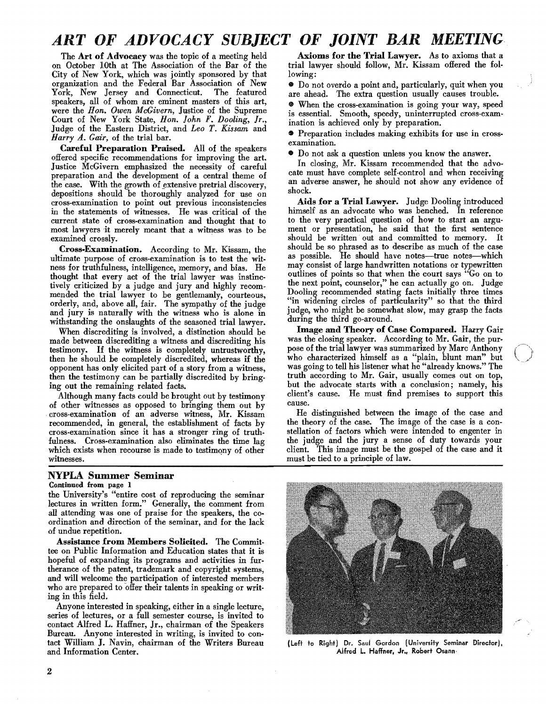# ART OF ADVOCACY SUBJECT OF *JOINT* BAR MEETING

The Art of Advocacy was the topic of a meeting held on October 10th at The Association of the Bar of the City of New York, which was jointly sponsored by that organization and the Federal Bar Association of New York, New Jersey and Connecticut. The featured speakers, all of whom are eminent masters of this art, were the *Hon. Owen McGivern,* Justice of the Supreme Court of New York State, *Hon. Iohn F. Dooling,* Jr., Judge of the Eastern District, and *Leo T. Kissam* and *Harry A. Gair,* of the trial bar.

Careful Preparation Praised. All of the speakers offered specific recommendations for improving the art. Justice McGivern emphasized the necessity of careful preparation and the development of a central theme of the case. With the growth of extensive pretrial discovery, depositions should be thoroughly analyzed for use on cross-examination to point out previous inconsistencies in the statements of witnesses. He was critical of the current state of cross-examination and thought that to most lawyers it merely meant that a witness was to be examined crossly.

Cross.Examination. According to Mr. Kissam, the ultimate purpose of cross-examination is to test the witness for truthfulness, intelligence, memory, and bias. He thought that every act of the trial lawyer was instinctively criticized by a judge and jury and highly recommended the trial lawyer to be gentlemanly, courteous, orderly, and, above all, fair. The sympathy of the judge and jury is naturally with the witness who is alone in withstanding the onslaughts of the seasoned trial lawyer.

When discrediting is involved, a distinction should be made between discrediting a witness and discrediting his testimony. If the witness is completely untrustworthy, then he should be completely discredited, whereas if the opponent has only elicited part of a story from a witness, then the testimony can be partially discredited by bringing out the remaining related facts.

Although many facts could be brought out by testimony of other witnesses as opposed to bringing them out by cross-examination of an adverse witness, Mr. Kissam recommended, in general, the establishment of facts by cross-examination since it has a stronger ring of truthfulness. Cross-examination also eliminates the time lag which exists when recourse is made to testimony of other WItnesses.

#### NYPLA Summer Seminar

#### Continued from page 1

the University's "entire cost of reproducing the seminar lectures in written form." Generally, the comment from all attending was one of praise for the speakers, the coordination and direction of the seminar, and for the lack of undue repetition.

Assistance from Members Solicited. The Committee on Public Information and Education states that it is hopeful of expanding its programs and activities in furtherance of the patent, trademark and copyright systems, and will welcome the participation of interested members who are prepared to offer their talents in speaking or writing in this field.

Anyone interested in speaking, either in a single lecture, series of lectures, or a full semester course, is invited to contact Alfred L. Haffner, Jr., chairman of the Speakers Bureau. Anyone interested in writing, is invited to contact William J. Navin, chairman of the Writers Bureau and Information Center.

Axioms for the Trial Lawyer. As to axioms that a trial lawyer should follow, Mr. Kissam offered the following:

• Do not overdo a point and, particularly, quit when you are ahead. The extra question usually causes trouble.

**When the cross-examination is going your way, speed** is essential. Smooth, speedy, uninterrupted cross-exam· ination is achieved only by preparation.

• Preparation includes making exhibits for use in crossexamination.

• Do not ask a question unless you know the answer.

In closing, Mr. Kissam recommended that the advocate must have complete self-control and when receiving an adverse answer, he should not show any evidence of shock.

Aids for a Trial Lawyer. Judge Dooling introduced himself as an advocate who was benched. In reference to the very practical question of how to start an argument or presentation, he said that the first sentence should be written out and committed to memory. It should be so phrased as to describe as much of the case as possible. He should have notes-true notes-which may consist of large handwritten notations or typewritten outlines of points so that when the court says "Go on to the next point, counselor," he can actually go on. Judge Dooling recommended stating facts initially three times "in widening circles of particularity" so that the third judge, who might be somewhat slow, may grasp the facts during the third go-around.

Image and Theory of Case Compared. Harry Gair was the closing speaker. According to Mr. Gair, the purpose of the trial lawyer was summarized by Marc Anthony who characterized himself as a "plain, blunt man" but was going to tell his listener what he "already knows." The truth according to Mr. Gair, usually comes out on top, but the advocate starts with a conclusion; namely, his client's cause. He must find premises to support this cause.

He distinguished between the image of the case and the theory of the case. The image of the case is a constellation of factors which were intended to engenter in the judge and the jury a sense of duty towards your client. This image must be the gospel of the case and it must be tied to a principle of law.



(Left to Right) Dr. Saul Gordon (University Seminar Director), Alfred L. Haffner, Jr.. Robert Osann·